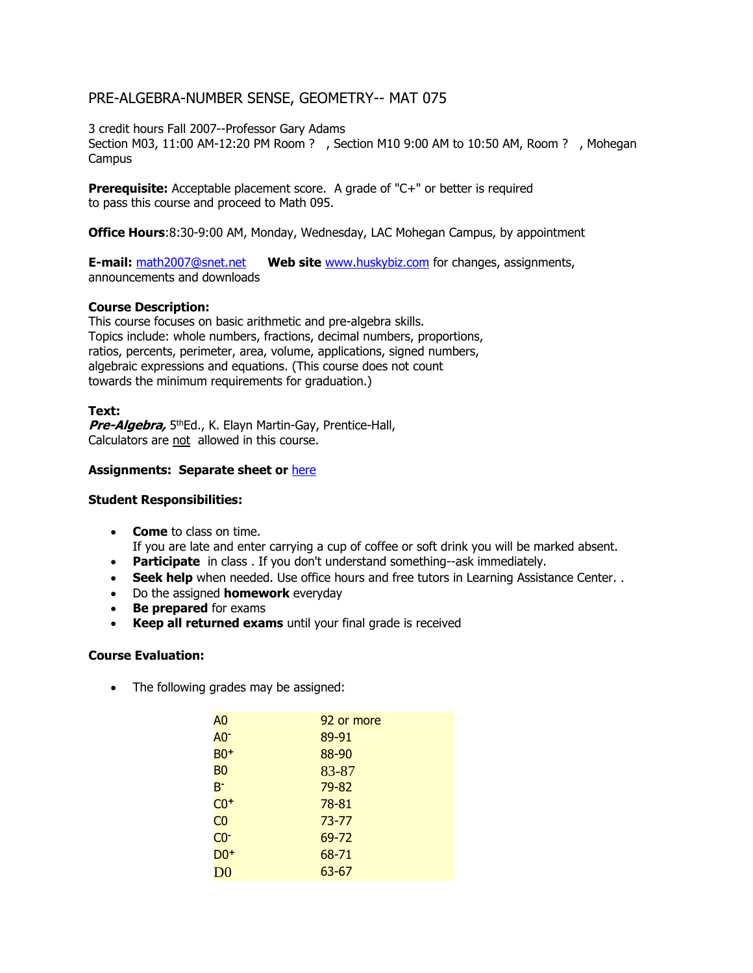# PRE-ALGEBRA-NUMBER SENSE, GEOMETRY-- MAT 075

3 credit hours Fall 2007--Professor Gary Adams

Section M03, 11:00 AM-12:20 PM Room ? , Section M10 9:00 AM to 10:50 AM, Room ? , Mohegan **Campus** 

**Prerequisite:** Acceptable placement score. A grade of "C+" or better is required to pass this course and proceed to Math 095.

**Office Hours**:8:30-9:00 AM, Monday, Wednesday, LAC Mohegan Campus, by appointment

**E-mail:** [math2007@snet.net](mailto:mathprof@snet.net) **Web site** [www.huskybiz.com](http://www.huskybiz.com/Gary%20Adams/Desktop/Gary%27s%20stuff/Web/) for changes, assignments, announcements and downloads

## **Course Description:**

This course focuses on basic arithmetic and pre-algebra skills. Topics include: whole numbers, fractions, decimal numbers, proportions, ratios, percents, perimeter, area, volume, applications, signed numbers, algebraic expressions and equations. (This course does not count towards the minimum requirements for graduation.)

## **Text:**

Pre-Algebra, 5<sup>th</sup>Ed., K. Elayn Martin-Gay, Prentice-Hall, Calculators are not allowed in this course.

# **Assignments: Separate sheet or** [here](http://www.huskybiz.com/mat075/math075_assignmentsold.html)

#### **Student Responsibilities:**

- **Come** to class on time. If you are late and enter carrying a cup of coffee or soft drink you will be marked absent.
- **Participate** in class . If you don't understand something--ask immediately.
- **Seek help** when needed. Use office hours and free tutors in Learning Assistance Center. .
- Do the assigned **homework** everyday
- **Be prepared** for exams
- **Keep all returned exams** until your final grade is received

#### **Course Evaluation:**

• The following grades may be assigned:

| 92 or more |
|------------|
| 89-91      |
| 88-90      |
| 83-87      |
| 79-82      |
| $78 - 81$  |
| 73-77      |
| 69-72      |
| 68-71      |
| 63-67      |
|            |